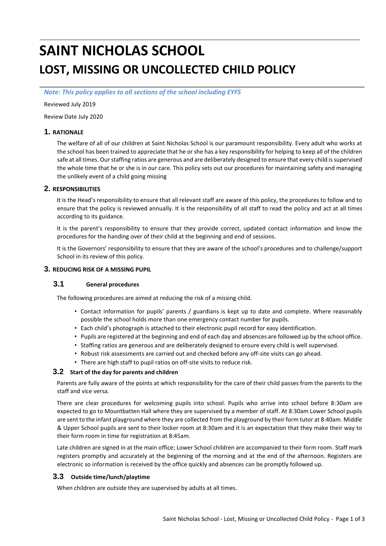# **SAINT NICHOLAS SCHOOL LOST, MISSING OR UNCOLLECTED CHILD POLICY**

*Note: This policy applies to all sections of the school including EYFS*

Reviewed July 2019

Review Date July 2020

## **1. RATIONALE**

The welfare of all of our children at Saint Nicholas School is our paramount responsibility. Every adult who works at the school has been trained to appreciate that he or she has a key responsibility for helping to keep all of the children safe at all times. Our staffing ratios are generous and are deliberately designed to ensure that every child is supervised the whole time that he or she is in our care. This policy sets out our procedures for maintaining safety and managing the unlikely event of a child going missing

#### **2. RESPONSIBILITIES**

It is the Head's responsibility to ensure that all relevant staff are aware of this policy, the procedures to follow and to ensure that the policy is reviewed annually. It is the responsibility of all staff to read the policy and act at all times according to its guidance.

It is the parent's responsibility to ensure that they provide correct, updated contact information and know the procedures for the handing over of their child at the beginning and end of sessions.

It is the Governors' responsibility to ensure that they are aware of the school's procedures and to challenge/support School in its review of this policy.

#### **3. REDUCING RISK OF A MISSING PUPIL**

# **3.1 General procedures**

The following procedures are aimed at reducing the risk of a missing child.

- Contact information for pupils' parents / guardians is kept up to date and complete. Where reasonably possible the school holds more than one emergency contact number for pupils.
- Each child's photograph is attached to their electronic pupil record for easy identification.
- Pupils are registered at the beginning and end of each day and absences are followed up by the school office.
- Staffing ratios are generous and are deliberately designed to ensure every child is well supervised.
- Robust risk assessments are carried out and checked before any off-site visits can go ahead.
- There are high staff to pupil ratios on off-site visits to reduce risk.

#### **3.2 Start of the day for parents and children**

Parents are fully aware of the points at which responsibility for the care of their child passes from the parents to the staff and vice versa.

There are clear procedures for welcoming pupils into school. Pupils who arrive into school before 8:30am are expected to go to Mountbatten Hall where they are supervised by a member of staff. At 8:30am Lower School pupils are sent to the infant playground where they are collected from the playground by their form tutor at 8:40am. Middle & Upper School pupils are sent to their locker room at 8:30am and it is an expectation that they make their way to their form room in time for registration at 8:45am.

Late children are signed in at the main office; Lower School children are accompanied to their form room. Staff mark registers promptly and accurately at the beginning of the morning and at the end of the afternoon. Registers are electronic so information is received by the office quickly and absences can be promptly followed up.

#### **3.3 Outside time/lunch/playtime**

When children are outside they are supervised by adults at all times.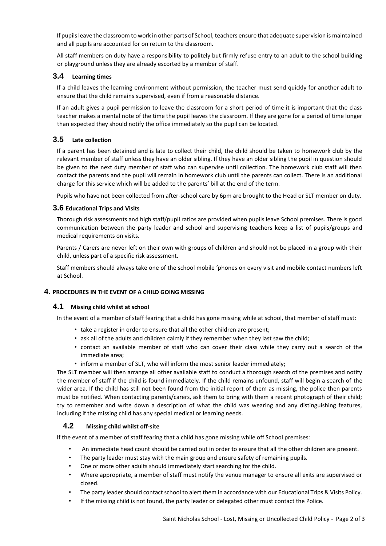If pupils leave the classroom to work in other parts of School, teachers ensure that adequate supervision is maintained and all pupils are accounted for on return to the classroom.

All staff members on duty have a responsibility to politely but firmly refuse entry to an adult to the school building or playground unless they are already escorted by a member of staff.

## **3.4 Learning times**

If a child leaves the learning environment without permission, the teacher must send quickly for another adult to ensure that the child remains supervised, even if from a reasonable distance.

If an adult gives a pupil permission to leave the classroom for a short period of time it is important that the class teacher makes a mental note of the time the pupil leaves the classroom. If they are gone for a period of time longer than expected they should notify the office immediately so the pupil can be located.

## **3.5 Late collection**

If a parent has been detained and is late to collect their child, the child should be taken to homework club by the relevant member of staff unless they have an older sibling. If they have an older sibling the pupil in question should be given to the next duty member of staff who can supervise until collection. The homework club staff will then contact the parents and the pupil will remain in homework club until the parents can collect. There is an additional charge for this service which will be added to the parents' bill at the end of the term.

Pupils who have not been collected from after-school care by 6pm are brought to the Head or SLT member on duty.

#### **3.6 Educational Trips and Visits**

Thorough risk assessments and high staff/pupil ratios are provided when pupils leave School premises. There is good communication between the party leader and school and supervising teachers keep a list of pupils/groups and medical requirements on visits.

Parents / Carers are never left on their own with groups of children and should not be placed in a group with their child, unless part of a specific risk assessment.

Staff members should always take one of the school mobile 'phones on every visit and mobile contact numbers left at School.

#### **4. PROCEDURES IN THE EVENT OF A CHILD GOING MISSING**

#### **4.1 Missing child whilst at school**

In the event of a member of staff fearing that a child has gone missing while at school, that member of staff must:

- take a register in order to ensure that all the other children are present;
- ask all of the adults and children calmly if they remember when they last saw the child;
- contact an available member of staff who can cover their class while they carry out a search of the immediate area;
- inform a member of SLT, who will inform the most senior leader immediately;

The SLT member will then arrange all other available staff to conduct a thorough search of the premises and notify the member of staff if the child is found immediately. If the child remains unfound, staff will begin a search of the wider area. If the child has still not been found from the initial report of them as missing, the police then parents must be notified. When contacting parents/carers, ask them to bring with them a recent photograph of their child; try to remember and write down a description of what the child was wearing and any distinguishing features, including if the missing child has any special medical or learning needs.

## **4.2 Missing child whilst off-site**

If the event of a member of staff fearing that a child has gone missing while off School premises:

- An immediate head count should be carried out in order to ensure that all the other children are present.
- The party leader must stay with the main group and ensure safety of remaining pupils.
- One or more other adults should immediately start searching for the child.
- Where appropriate, a member of staff must notify the venue manager to ensure all exits are supervised or closed.
- The party leader should contact school to alert them in accordance with our Educational Trips & Visits Policy.
- If the missing child is not found, the party leader or delegated other must contact the Police.